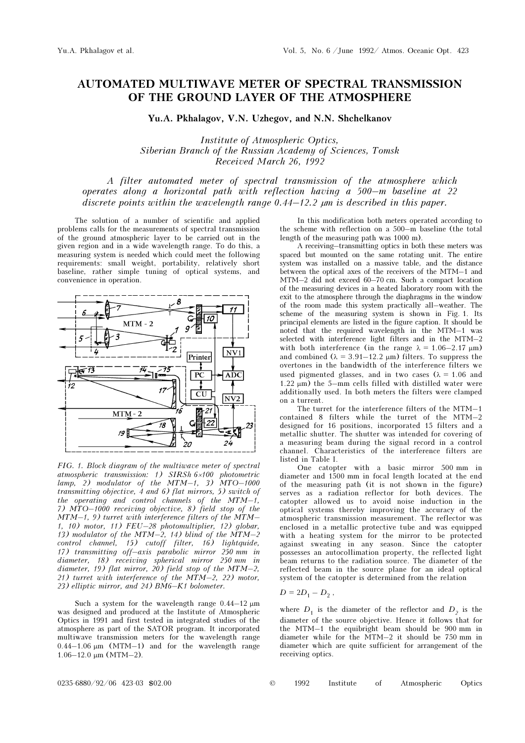## AUTOMATED MULTIWAVE METER OF SPECTRAL TRANSMISSION OF THE GROUND LAYER OF THE ATMOSPHERE

Yu.A. Pkhalagov, V.N. Uzhegov, and N.N. Shchelkanov

Institute of Atmospheric Optics, Siberian Branch of the Russian Academy of Sciences, Tomsk Received March 26, 1992

A filter automated meter of spectral transmission of the atmosphere which operates along a horizontal path with reflection having a 500–m baseline at 22 discrete points within the wavelength range 0.44–12.2 µm is described in this paper.

The solution of a number of scientific and applied problems calls for the measurements of spectral transmission of the ground atmospheric layer to be carried out in the given region and in a wide wavelength range. To do this, a measuring system is needed which could meet the following requirements: small weight, portability, relatively short baseline, rather simple tuning of optical systems, and convenience in operation.



FIG. 1. Block diagram of the multiwave meter of spectral atmospheric transmission: 1) SIRSh 6×100 photometric  $lamp, 2)$  modulator of the MTM-1, 3) MTO-1000 transmitting objective, 4 and 6) flat mirrors, 5) switch of the operating and control channels of the MTM–1, 7) MTO–1000 receiving objective, 8) field stop of the MTM–1, 9) turret with interference filters of the MTM– 1, 10) motor, 11) FEU–28 photomultiplier, 12) globar, 13) modulator of the MTM-2, 14) blind of the MTM-2 control channel, 15) cutoff filter, 16) lightquide, 17) transmitting off–axis parabolic mirror 250 mm in diameter, 18) receiving spherical mirror 250 mm in diameter, 19) flat mirror, 20) field stop of the MTM–2, 21) turret with interference of the  $\overline{M}$  $\overline{M}$  $-2$ , 22) motor, 23) elliptic mirror, and 24) BM6–K1 bolometer.

Such a system for the wavelength range  $0.44-12 \mu m$ was designed and produced at the Institute of Atmospheric Optics in 1991 and first tested in integrated studies of the atmosphere as part of the SATOR program. It incorporated multiwave transmission meters for the wavelength range  $0.44-1.06 \mu m$  (MTM-1) and for the wavelength range 1.06–12.0 μm (MTM–2).

In this modification both meters operated according to the scheme with reflection on a 500–m baseline (the total length of the measuring path was 1000 m).

A receiving–transmitting optics in both these meters was spaced but mounted on the same rotating unit. The entire system was installed on a massive table, and the distance between the optical axes of the receivers of the MTM–1 and MTM–2 did not exceed 60–70 cm. Such a compact location of the measuring devices in a heated laboratory room with the exit to the atmosphere through the diaphragms in the window of the room made this system practically all–weather. The scheme of the measuring system is shown in Fig. 1. Its principal elements are listed in the figure caption. It should be noted that the required wavelength in the MTM–1 was selected with interference light filters and in the MTM–2 with both interference (in the range  $\lambda = 1.06-2.17 \text{ }\mu\text{m}$ ) and combined ( $\lambda = 3.91 - 12.2 \mu m$ ) filters. To suppress the overtones in the bandwidth of the interference filters we used pigmented glasses, and in two cases ( $\lambda = 1.06$  and 1.22 μm) the 5–mm cells filled with distilled water were additionally used. In both meters the filters were clamped on a turrent.

The turret for the interference filters of the MTM–1 contained 8 filters while the turret of the MTM–2 designed for 16 positions, incorporated 15 filters and a metallic shutter. The shutter was intended for covering of a measuring beam during the signal record in a control channel. Characteristics of the interference filters are listed in Table I.

One catopter with a basic mirror 500 mm in diameter and 1500 mm in focal length located at the end of the measuring path (it is not shown in the figure) serves as a radiation reflector for both devices. The catopter allowed us to avoid noise induction in the optical systems thereby improving the accuracy of the atmospheric transmission measurement. The reflector was enclosed in a metallic protective tube and was equipped with a heating system for the mirror to be protected against sweating in any season. Since the catopter possesses an autocollimation property, the reflected light beam returns to the radiation source. The diameter of the reflected beam in the source plane for an ideal optical system of the catopter is determined from the relation

$$
D=2D_1-D_2,
$$

where  $D_1$  is the diameter of the reflector and  $D_2$  is the diameter of the source objective. Hence it follows that for the MTM–1 the equibright beam should be 900 mm in diameter while for the MTM–2 it should be 750 mm in diameter which are quite sufficient for arrangement of the receiving optics.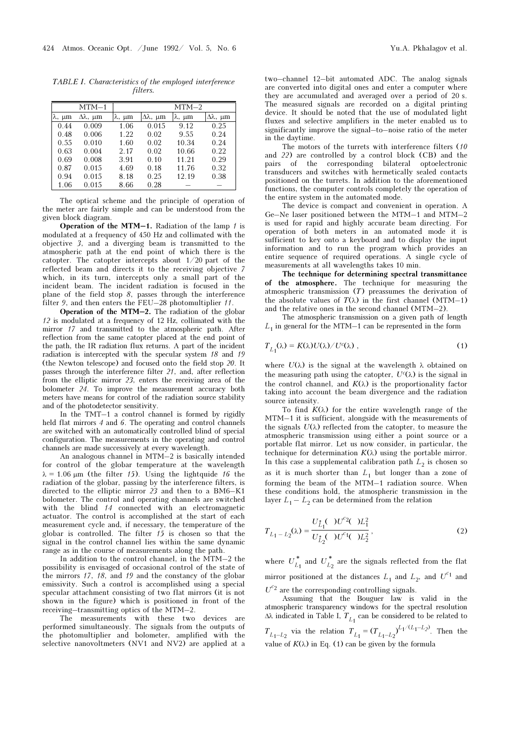TABLE I. Characteristics of the employed interference filters.

|       | MTM-1     | $MTM-2$ |        |                     |        |
|-------|-----------|---------|--------|---------------------|--------|
| λ, μm | $Δλ$ , μm | λ, μm   | Δλ, μm | $\lambda$ , $\mu$ m | Δλ, μm |
| 0.44  | 0.009     | 1.06    | 0.015  | 9.12                | 0.25   |
| 0.48  | 0.006     | 1.22    | 0.02   | 9.55                | 0.24   |
| 0.55  | 0.010     | 1.60    | 0.02   | 10.34               | 0.24   |
| 0.63  | 0.004     | 2.17    | 0.02   | 10.66               | 0.22   |
| 0.69  | 0.008     | 3.91    | 0.10   | 11.21               | 0.29   |
| 0.87  | 0.015     | 4.69    | 0.18   | 11.76               | 0.32   |
| 0.94  | 0.015     | 8.18    | 0.25   | 12.19               | 0.38   |
| 1.06  | 0.015     | 8.66    | 0.28   |                     |        |

The optical scheme and the principle of operation of the meter are fairly simple and can be understood from the given block diagram.

**Operation of the MTM-1.** Radiation of the lamp  $1$  is modulated at a frequency of 450 Hz and collimated with the objective 3, and a diverging beam is transmitted to the atmospheric path at the end point of which there is the catopter. The catopter intercepts about 1/20 part of the reflected beam and directs it to the receiving objective 7 which, in its turn, intercepts only a small part of the incident beam. The incident radiation is focused in the plane of the field stop 8, passes through the interference filter 9, and then enters the FEU–28 photomultiplier 11.

Operation of the MTM–2. The radiation of the globar 12 is modulated at a frequency of 12 Hz, collimated with the mirror 17 and transmitted to the atmospheric path. After reflection from the same catopter placed at the end point of the path, the IR radiation flux returns. A part of the incident radiation is intercepted with the specular system 18 and 19 (the Newton telescope) and focused onto the field stop 20. It passes through the interference filter 21, and, after reflection from the elliptic mirror 23, enters the receiving area of the bolometer 24. To improve the measurement accuracy both meters have means for control of the radiation source stability and of the photodetector sensitivity.

In the TMT–1 a control channel is formed by rigidly held flat mirrors 4 and 6. The operating and control channels are switched with an automatically controlled blind of special configuration. The measurements in the operating and control channels are made successively at every wavelength.

An analogous channel in MTM–2 is basically intended for control of the globar temperature at the wavelength  $\lambda = 1.06$  μm (the filter 15). Using the lightquide 16 the radiation of the globar, passing by the interference filters, is directed to the elliptic mirror 23 and then to a BM6–K1 bolometer. The control and operating channels are switched with the blind 14 connected with an electromagnetic actuator. The control is accomplished at the start of each measurement cycle and, if necessary, the temperature of the globar is controlled. The filter  $15$  is chosen so that the signal in the control channel lies within the same dynamic range as in the course of measurements along the path.

In addition to the control channel, in the MTM–2 the possibility is envisaged of occasional control of the state of the mirrors 17, 18, and 19 and the constancy of the globar emissivity. Such a control is accomplished using a special specular attachment consisting of two flat mirrors (it is not shown in the figure) which is positioned in front of the receiving–transmitting optics of the MTM–2.

The measurements with these two devices are performed simultaneously. The signals from the outputs of the photomultiplier and bolometer, amplified with the selective nanovoltmeters (NV1 and NV2) are applied at a

two–channel 12–bit automated ADC. The analog signals are converted into digital ones and enter a computer where they are accumulated and averaged over a period of 20 s. The measured signals are recorded on a digital printing device. It should be noted that the use of modulated light fluxes and selective amplifiers in the meter enabled us to significantly improve the signal–to–noise ratio of the meter in the daytime.

The motors of the turrets with interference filters (10 and 22) are controlled by a control block (CB) and the pairs of the corresponding bilateral optoelectronic transducers and switches with hermetically sealed contacts positioned on the turrets. In addition to the aforementioned functions, the computer controls completely the operation of the entire system in the automated mode.

The device is compact and convenient in operation. A Ge–Ne laser positioned between the MTM–1 and MTM–2 is used for rapid and highly accurate beam directing. For operation of both meters in an automated mode it is sufficient to key onto a keyboard and to display the input information and to run the program which provides an entire sequence of required operations. A single cycle of measurements at all wavelengths takes 10 min.

The technique for determining spectral transmittance of the atmosphere. The technique for measuring the atmospheric transmission (T) preassumes the derivation of the absolute values of  $T(\lambda)$  in the first channel (MTM–1) and the relative ones in the second channel (MTM–2).

The atmospheric transmission on a given path of length  $L_1$  in general for the MTM–1 can be represented in the form

$$
T_{L_1}(\lambda) = K(\lambda)U(\lambda)/U^c(\lambda) , \qquad (1)
$$

where  $U(\lambda)$  is the signal at the wavelength  $\lambda$  obtained on the measuring path using the catopter,  $U^{c}(\lambda)$  is the signal in the control channel, and  $K(\lambda)$  is the proportionality factor taking into account the beam divergence and the radiation source intensity.

To find  $K(\lambda)$  for the entire wavelength range of the MTM–1 it is sufficient, alongside with the measurements of the signals  $U(\lambda)$  reflected from the catopter, to measure the atmospheric transmission using either a point source or a portable flat mirror. Let us now consider, in particular, the technique for determination  $K(\lambda)$  using the portable mirror. In this case a supplemental calibration path  $L_2$  is chosen so as it is much shorter than  $L_1$  but longer than a zone of forming the beam of the MTM–1 radiation source. When these conditions hold, the atmospheric transmission in the layer  $L_1 - L_2$  can be determined from the relation

$$
T_{L_1 - L_2}(\lambda) = \frac{U_{L_1}^*(\ )U^{c_2}(\ )L_1^2}{U_{L_2}^*(\ )U^{c_1}(\ )L_2^2},\tag{2}
$$

where  $U_{L_1}^*$  and  $U_{L_2}^*$  are the signals reflected from the flat mirror positioned at the distances  $L_1$  and  $L_2$ , and  $U^{c_1}$  and  $U^{c_2}$  are the corresponding controlling signals.

Assuming that the Bouguer law is valid in the atmospheric transparency windows for the spectral resolution Δλ indicated in Table I,  $T_{L_1}$  can be considered to be related to

 $T_{L_1-L_2}$  via the relation  $T_{L_1} = (T_{L_1-L_2})^{L_1/(L_1-L_2)}$ . Then the value of  $K(\lambda)$  in Eq. (1) can be given by the formula